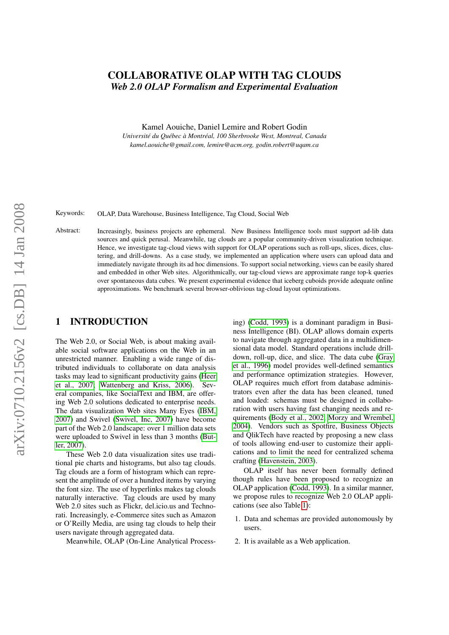# COLLABORATIVE OLAP WITH TAG CLOUDS *Web 2.0 OLAP Formalism and Experimental Evaluation*

Kamel Aouiche, Daniel Lemire and Robert Godin *Universite du Qu ´ ebec ´ a Montr ` eal, 100 Sherbrooke West, Montreal, Canada ´ kamel.aouiche@gmail.com, lemire@acm.org, godin.robert@uqam.ca*

Keywords: OLAP, Data Warehouse, Business Intelligence, Tag Cloud, Social Web

Abstract: Increasingly, business projects are ephemeral. New Business Intelligence tools must support ad-lib data sources and quick perusal. Meanwhile, tag clouds are a popular community-driven visualization technique. Hence, we investigate tag-cloud views with support for OLAP operations such as roll-ups, slices, dices, clustering, and drill-downs. As a case study, we implemented an application where users can upload data and immediately navigate through its ad hoc dimensions. To support social networking, views can be easily shared and embedded in other Web sites. Algorithmically, our tag-cloud views are approximate range top-k queries over spontaneous data cubes. We present experimental evidence that iceberg cuboids provide adequate online approximations. We benchmark several browser-oblivious tag-cloud layout optimizations.

## 1 INTRODUCTION

The Web 2.0, or Social Web, is about making available social software applications on the Web in an unrestricted manner. Enabling a wide range of distributed individuals to collaborate on data analysis tasks may lead to significant productivity gains [\(Heer](#page-7-0) [et al., 2007;](#page-7-0) [Wattenberg and Kriss, 2006\)](#page-7-1). Several companies, like SocialText and IBM, are offering Web 2.0 solutions dedicated to enterprise needs. The data visualization Web sites Many Eyes [\(IBM,](#page-7-2) [2007\)](#page-7-2) and Swivel [\(Swivel, Inc, 2007\)](#page-7-3) have become part of the Web 2.0 landscape: over 1 million data sets were uploaded to Swivel in less than 3 months [\(But](#page-7-4)[ler, 2007\)](#page-7-4).

These Web 2.0 data visualization sites use traditional pie charts and histograms, but also tag clouds. Tag clouds are a form of histogram which can represent the amplitude of over a hundred items by varying the font size. The use of hyperlinks makes tag clouds naturally interactive. Tag clouds are used by many Web 2.0 sites such as Flickr, del.icio.us and Technorati. Increasingly, e-Commerce sites such as Amazon or O'Reilly Media, are using tag clouds to help their users navigate through aggregated data.

Meanwhile, OLAP (On-Line Analytical Process-

ing) [\(Codd, 1993\)](#page-7-5) is a dominant paradigm in Business Intelligence (BI). OLAP allows domain experts to navigate through aggregated data in a multidimensional data model. Standard operations include drilldown, roll-up, dice, and slice. The data cube [\(Gray](#page-7-6) [et al., 1996\)](#page-7-6) model provides well-defined semantics and performance optimization strategies. However, OLAP requires much effort from database administrators even after the data has been cleaned, tuned and loaded: schemas must be designed in collaboration with users having fast changing needs and requirements [\(Body et al., 2002;](#page-7-7) [Morzy and Wrembel,](#page-7-8) [2004\)](#page-7-8). Vendors such as Spotfire, Business Objects and QlikTech have reacted by proposing a new class of tools allowing end-user to customize their applications and to limit the need for centralized schema crafting [\(Havenstein, 2003\)](#page-7-9).

OLAP itself has never been formally defined though rules have been proposed to recognize an OLAP application [\(Codd, 1993\)](#page-7-5). In a similar manner, we propose rules to recognize Web 2.0 OLAP applications (see also Table [1\)](#page-1-0):

- 1. Data and schemas are provided autonomously by users.
- 2. It is available as a Web application.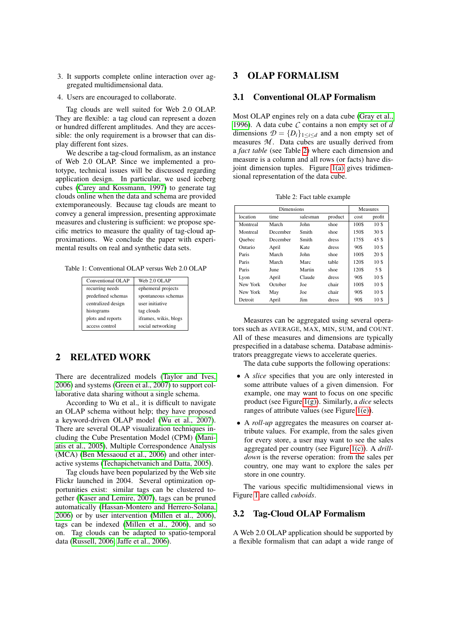- 3. It supports complete online interaction over aggregated multidimensional data.
- 4. Users are encouraged to collaborate.

Tag clouds are well suited for Web 2.0 OLAP. They are flexible: a tag cloud can represent a dozen or hundred different amplitudes. And they are accessible: the only requirement is a browser that can display different font sizes.

We describe a tag-cloud formalism, as an instance of Web 2.0 OLAP. Since we implemented a prototype, technical issues will be discussed regarding application design. In particular, we used iceberg cubes [\(Carey and Kossmann, 1997\)](#page-7-10) to generate tag clouds online when the data and schema are provided extemporaneously. Because tag clouds are meant to convey a general impression, presenting approximate measures and clustering is sufficient: we propose specific metrics to measure the quality of tag-cloud approximations. We conclude the paper with experimental results on real and synthetic data sets.

<span id="page-1-0"></span>Table 1: Conventional OLAP versus Web 2.0 OLAP

| Conventional OLAP  | Web 2.0 OLAP          |  |  |
|--------------------|-----------------------|--|--|
| recurring needs    | ephemeral projects    |  |  |
| predefined schemas | spontaneous schemas   |  |  |
| centralized design | user initiative       |  |  |
| histograms         | tag clouds            |  |  |
| plots and reports  | iframes, wikis, blogs |  |  |
| access control     | social networking     |  |  |

## 2 RELATED WORK

There are decentralized models [\(Taylor and Ives,](#page-7-11) [2006\)](#page-7-11) and systems [\(Green et al., 2007\)](#page-7-12) to support collaborative data sharing without a single schema.

According to Wu et al., it is difficult to navigate an OLAP schema without help; they have proposed a keyword-driven OLAP model [\(Wu et al., 2007\)](#page-7-13). There are several OLAP visualization techniques including the Cube Presentation Model (CPM) [\(Mani](#page-7-14)[atis et al., 2005\)](#page-7-14), Multiple Correspondence Analysis (MCA) [\(Ben Messaoud et al., 2006\)](#page-6-0) and other interactive systems [\(Techapichetvanich and Datta, 2005\)](#page-7-15).

Tag clouds have been popularized by the Web site Flickr launched in 2004. Several optimization opportunities exist: similar tags can be clustered together [\(Kaser and Lemire, 2007\)](#page-7-16), tags can be pruned automatically [\(Hassan-Montero and Herrero-Solana,](#page-7-17) [2006\)](#page-7-17) or by user intervention [\(Millen et al., 2006\)](#page-7-18), tags can be indexed [\(Millen et al., 2006\)](#page-7-18), and so on. Tag clouds can be adapted to spatio-temporal data [\(Russell, 2006;](#page-7-19) [Jaffe et al., 2006\)](#page-7-20).

## 3 OLAP FORMALISM

#### 3.1 Conventional OLAP Formalism

Most OLAP engines rely on a data cube [\(Gray et al.,](#page-7-6) [1996\)](#page-7-6). A data cube *C* contains a non empty set of *d* dimensions  $\mathcal{D} = \{D_i\}_{1 \leq i \leq d}$  and a non empty set of measures  $M$ . Data cubes are usually derived from a *fact table* (see Table [2\)](#page-1-1) where each dimension and measure is a column and all rows (or facts) have disjoint dimension tuples. Figure [1\(a\)](#page-2-0) gives tridimensional representation of the data cube.

Table 2: Fact table example

<span id="page-1-1"></span>

| <b>Dimensions</b> |          |          |         |       | <b>Measures</b> |  |
|-------------------|----------|----------|---------|-------|-----------------|--|
| location          | time     | salesman | product | cost  | profit          |  |
| Montreal          | March    | John     | shoe    | 100\$ | 10 <sup>5</sup> |  |
| Montreal          | December | Smith    | shoe    | 150\$ | 30\$            |  |
| Ouebec            | December | Smith    | dress   | 175\$ | 45\$            |  |
| Ontario           | April    | Kate     | dress   | 90\$  | 10 <sup>5</sup> |  |
| Paris             | March    | John     | shoe    | 100\$ | 20 <sup>s</sup> |  |
| Paris             | March    | Marc.    | table   | 120\$ | 10 <sup>3</sup> |  |
| Paris             | June     | Martin   | shoe    | 120\$ | 5 S             |  |
| Lyon              | April    | Claude   | dress   | 90\$  | 10\$            |  |
| New York          | October  | Joe      | chair   | 100\$ | 10\$            |  |
| New York          | May      | Joe      | chair   | 90\$  | 10\$            |  |
| Detroit           | April    | Jim      | dress   | 90\$  | 10\$            |  |

Measures can be aggregated using several operators such as AVERAGE, MAX, MIN, SUM, and COUNT. All of these measures and dimensions are typically prespecified in a database schema. Database administrators preaggregate views to accelerate queries.

The data cube supports the following operations:

- A *slice* specifies that you are only interested in some attribute values of a given dimension. For example, one may want to focus on one specific product (see Figure [1\(g\)\)](#page-2-1). Similarly, a *dice* selects ranges of attribute values (see Figure [1\(e\)\)](#page-2-2).
- A *roll-up* aggregates the measures on coarser attribute values. For example, from the sales given for every store, a user may want to see the sales aggregated per country (see Figure [1\(c\)\)](#page-2-3). A *drilldown* is the reverse operation: from the sales per country, one may want to explore the sales per store in one country.

The various specific multidimensional views in Figure [1](#page-2-4) are called *cuboids*.

#### 3.2 Tag-Cloud OLAP Formalism

A Web 2.0 OLAP application should be supported by a flexible formalism that can adapt a wide range of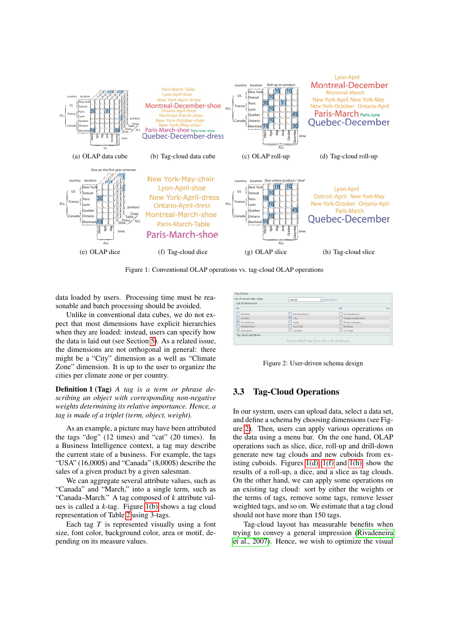<span id="page-2-5"></span><span id="page-2-0"></span>

<span id="page-2-8"></span>Figure 1: Conventional OLAP operations vs. tag-cloud OLAP operations

<span id="page-2-4"></span><span id="page-2-2"></span>data loaded by users. Processing time must be reasonable and batch processing should be avoided.

Unlike in conventional data cubes, we do not expect that most dimensions have explicit hierarchies when they are loaded: instead, users can specify how the data is laid out (see Section [5\)](#page-4-0). As a related issue, the dimensions are not orthogonal in general: there might be a "City" dimension as a well as "Climate Zone" dimension. It is up to the user to organize the cities per climate zone or per country.

Definition 1 (Tag) *A tag is a term or phrase describing an object with corresponding non-negative weights determining its relative importance. Hence, a tag is made of a triplet (term, object, weight).*

As an example, a picture may have been attributed the tags "dog" (12 times) and "cat" (20 times). In a Business Intelligence context, a tag may describe the current state of a business. For example, the tags "USA" (16,000\$) and "Canada" (8,000\$) describe the sales of a given product by a given salesman.

We can aggregate several attribute values, such as "Canada" and "March," into a single term, such as "Canada–March." A tag composed of *k* attribute values is called a *k*-tag. Figure [1\(b\)](#page-2-5) shows a tag cloud representation of Table [2](#page-1-1) using 3-tags.

Each tag *T* is represented visually using a font size, font color, background color, area or motif, depending on its measure values.

<span id="page-2-9"></span><span id="page-2-7"></span><span id="page-2-3"></span><span id="page-2-1"></span>

| List of stored data cubes<br>List of dimensions | swivel                                | v description          |      |
|-------------------------------------------------|---------------------------------------|------------------------|------|
| $\leftarrow$                                    |                                       | $\rightarrow$          | $G-$ |
| Number                                          | StreetAddress                         | EmailAddress           |      |
| $\Box$ Gender                                   | $\Box$ City                           | $\Box$ TelephoneNumber |      |
| GivenName                                       | $\Box$ State                          | MothersMaiden          |      |
| $\Box$ Middle Initial                           | $\Box$ ZipCode                        | $\Box$ Birthday        |      |
| Sumame                                          | $\Box$ Country                        | $\Box$ CCType          |      |
| Tag cloud operations                            |                                       |                        |      |
|                                                 | Project Roll-Up Slice Dice Drill-Down |                        |      |

<span id="page-2-6"></span>Figure 2: User-driven schema design

## 3.3 Tag-Cloud Operations

In our system, users can upload data, select a data set, and define a schema by choosing dimensions (see Figure [2\)](#page-2-6). Then, users can apply various operations on the data using a menu bar. On the one hand, OLAP operations such as slice, dice, roll-up and drill-down generate new tag clouds and new cuboids from existing cuboids. Figures  $1(d)$ ,  $1(f)$  and  $1(h)$ , show the results of a roll-up, a dice, and a slice as tag clouds. On the other hand, we can apply some operations on an existing tag cloud: sort by either the weights or the terms of tags, remove some tags, remove lesser weighted tags, and so on. We estimate that a tag cloud should not have more than 150 tags.

Tag-cloud layout has measurable benefits when trying to convey a general impression [\(Rivadeneira](#page-7-21) [et al., 2007\)](#page-7-21). Hence, we wish to optimize the visual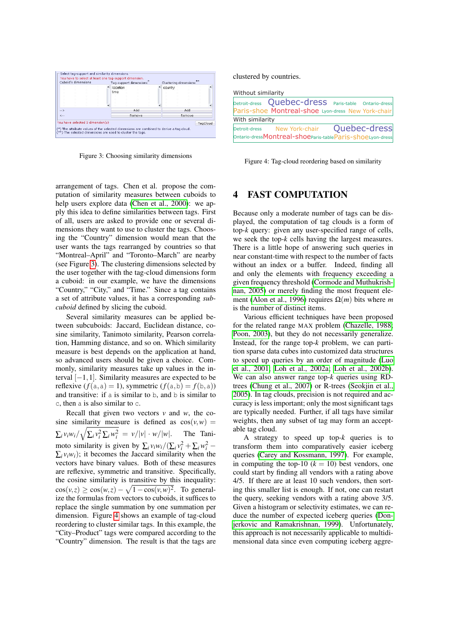|                  |  | location<br>time |  | country |  |
|------------------|--|------------------|--|---------|--|
|                  |  |                  |  |         |  |
| $-25$<br>$4 - 4$ |  | Add              |  | Add     |  |
|                  |  | Remove           |  | Remove  |  |

<span id="page-3-0"></span>Figure 3: Choosing similarity dimensions

arrangement of tags. Chen et al. propose the computation of similarity measures between cuboids to help users explore data [\(Chen et al., 2000\)](#page-7-22): we apply this idea to define similarities between tags. First of all, users are asked to provide one or several dimensions they want to use to cluster the tags. Choosing the "Country" dimension would mean that the user wants the tags rearranged by countries so that "Montreal–April" and "Toronto–March" are nearby (see Figure [3\)](#page-3-0). The clustering dimensions selected by the user together with the tag-cloud dimensions form a cuboid: in our example, we have the dimensions "Country," "City," and "Time." Since a tag contains a set of attribute values, it has a corresponding *subcuboid* defined by slicing the cuboid.

Several similarity measures can be applied between subcuboids: Jaccard, Euclidean distance, cosine similarity, Tanimoto similarity, Pearson correlation, Hamming distance, and so on. Which similarity measure is best depends on the application at hand, so advanced users should be given a choice. Commonly, similarity measures take up values in the interval [−1,1]. Similarity measures are expected to be reflexive  $(f(a, a) = 1)$ , symmetric  $(f(a, b) = f(b, a))$ and transitive: if a is similar to b, and b is similar to c, then a is also similar to c.

Recall that given two vectors *v* and *w*, the cosine similarity measure is defined as  $cos(v, w)$  =  $\sum_i v_i w_i / \sqrt{\sum_i v_i^2 \sum_i w_i^2} = v/|v| \cdot w/|w|$ . The Tanimoto similarity is given by  $\sum_i v_i w_i / (\sum_i v_i^2 + \sum_i w_i^2 \sum_i v_i w_i$ ; it becomes the Jaccard similarity when the vectors have binary values. Both of these measures are reflexive, symmetric and transitive. Specifically, the cosine similarity is transitive by this inequality:  $\cos(v, z) \geq \cos(w, z) - \sqrt{1 - \cos(v, w)^2}$ . To generalize the formulas from vectors to cuboids, it suffices to replace the single summation by one summation per dimension. Figure [4](#page-3-1) shows an example of tag-cloud reordering to cluster similar tags. In this example, the "City–Product" tags were compared according to the "Country" dimension. The result is that the tags are

clustered by countries.

| Without similarity |                                                                                                        |  |
|--------------------|--------------------------------------------------------------------------------------------------------|--|
|                    | Detroit-dress Quebec-dress Paris-table Ontario-dress                                                   |  |
|                    | Paris-shoe Montreal-shoe Lyon-dress New York-chair                                                     |  |
| With similarity    |                                                                                                        |  |
|                    | Detroit-dress New York-chair Quebec-dress<br>Ontario-dressMontreal-shoeparis-tableParis-shoeLyon-dress |  |

<span id="page-3-1"></span>Figure 4: Tag-cloud reordering based on similarity

## <span id="page-3-2"></span>4 FAST COMPUTATION

Because only a moderate number of tags can be displayed, the computation of tag clouds is a form of top-*k* query: given any user-specified range of cells, we seek the top-*k* cells having the largest measures. There is a little hope of answering such queries in near constant-time with respect to the number of facts without an index or a buffer. Indeed, finding all and only the elements with frequency exceeding a given frequency threshold [\(Cormode and Muthukrish](#page-7-23)[nan, 2005\)](#page-7-23) or merely finding the most frequent ele-ment [\(Alon et al., 1996\)](#page-6-1) requires  $\Omega(m)$  bits where *m* is the number of distinct items.

Various efficient techniques have been proposed for the related range MAX problem [\(Chazelle, 1988;](#page-7-24) [Poon, 2003\)](#page-7-25), but they do not necessarily generalize. Instead, for the range top-*k* problem, we can partition sparse data cubes into customized data structures to speed up queries by an order of magnitude [\(Luo](#page-7-26) [et al., 2001;](#page-7-26) [Loh et al., 2002a;](#page-7-27) [Loh et al., 2002b\)](#page-7-28). We can also answer range top-*k* queries using RDtrees [\(Chung et al., 2007\)](#page-7-29) or R-trees [\(Seokjin et al.,](#page-7-30) [2005\)](#page-7-30). In tag clouds, precision is not required and accuracy is less important; only the most significant tags are typically needed. Further, if all tags have similar weights, then any subset of tag may form an acceptable tag cloud.

A strategy to speed up top-*k* queries is to transform them into comparatively easier iceberg queries [\(Carey and Kossmann, 1997\)](#page-7-10). For example, in computing the top-10  $(k = 10)$  best vendors, one could start by finding all vendors with a rating above 4/5. If there are at least 10 such vendors, then sorting this smaller list is enough. If not, one can restart the query, seeking vendors with a rating above 3/5. Given a histogram or selectivity estimates, we can reduce the number of expected iceberg queries [\(Don](#page-7-31)[jerkovic and Ramakrishnan, 1999\)](#page-7-31). Unfortunately, this approach is not necessarily applicable to multidimensional data since even computing iceberg aggre-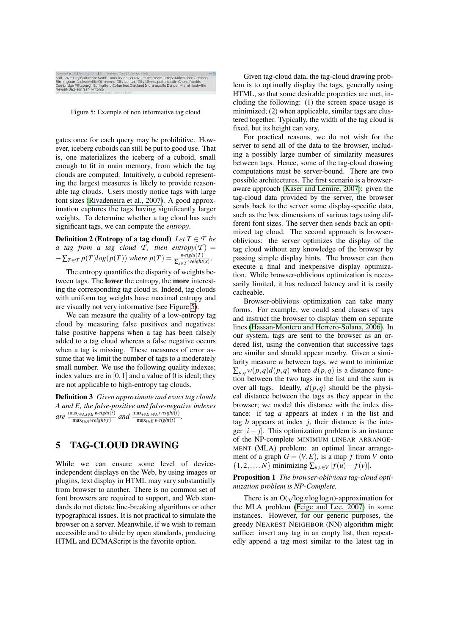

<span id="page-4-1"></span>Figure 5: Example of non informative tag cloud

gates once for each query may be prohibitive. However, iceberg cuboids can still be put to good use. That is, one materializes the iceberg of a cuboid, small enough to fit in main memory, from which the tag clouds are computed. Intuitively, a cuboid representing the largest measures is likely to provide reasonable tag clouds. Users mostly notice tags with large font sizes [\(Rivadeneira et al., 2007\)](#page-7-21). A good approximation captures the tags having significantly larger weights. To determine whether a tag cloud has such significant tags, we can compute the *entropy*.

**Definition 2 (Entropy of a tag cloud)** Let  $T \in \mathcal{T}$  be *a tag from a tag cloud T*, *then entropy* $(T)$   $=$  $-\sum_{T \in \mathcal{T}} p(T)log(p(T))$  where  $p(T) = \frac{weight(T)}{\sum_{x \in \mathcal{T}} weight(x)}$ .

The entropy quantifies the disparity of weights between tags. The lower the entropy, the more interesting the corresponding tag cloud is. Indeed, tag clouds with uniform tag weights have maximal entropy and are visually not very informative (see Figure [5\)](#page-4-1).

We can measure the quality of a low-entropy tag cloud by measuring false positives and negatives: false positive happens when a tag has been falsely added to a tag cloud whereas a false negative occurs when a tag is missing. These measures of error assume that we limit the number of tags to a moderately small number. We use the following quality indexes; index values are in  $[0,1]$  and a value of 0 is ideal; they are not applicable to high-entropy tag clouds.

Definition 3 *Given approximate and exact tag clouds A and E, the false-positive and false-negative indexes*  $\omega$ *e* max<sub>*t*∈*A*,*t*∉*E weight*(*t*)</sub>  $\frac{\max_{t \in A, t \notin E} weight(t)}{\max_{t \in A} weight(t)}$  and  $\frac{\max_{t \in E, t \notin A} weight(t)}{\max_{t \in E} weight(t)}$ .

## <span id="page-4-0"></span>5 TAG-CLOUD DRAWING

While we can ensure some level of deviceindependent displays on the Web, by using images or plugins, text display in HTML may vary substantially from browser to another. There is no common set of font browsers are required to support, and Web standards do not dictate line-breaking algorithms or other typographical issues. It is not practical to simulate the browser on a server. Meanwhile, if we wish to remain accessible and to abide by open standards, producing HTML and ECMAScript is the favorite option.

Given tag-cloud data, the tag-cloud drawing problem is to optimally display the tags, generally using HTML, so that some desirable properties are met, including the following: (1) the screen space usage is minimized; (2) when applicable, similar tags are clustered together. Typically, the width of the tag cloud is fixed, but its height can vary.

For practical reasons, we do not wish for the server to send all of the data to the browser, including a possibly large number of similarity measures between tags. Hence, some of the tag-cloud drawing computations must be server-bound. There are two possible architectures. The first scenario is a browseraware approach [\(Kaser and Lemire, 2007\)](#page-7-16): given the tag-cloud data provided by the server, the browser sends back to the server some display-specific data, such as the box dimensions of various tags using different font sizes. The server then sends back an optimized tag cloud. The second approach is browseroblivious: the server optimizes the display of the tag cloud without any knowledge of the browser by passing simple display hints. The browser can then execute a final and inexpensive display optimization. While browser-oblivious optimization is necessarily limited, it has reduced latency and it is easily cacheable.

Browser-oblivious optimization can take many forms. For example, we could send classes of tags and instruct the browser to display them on separate lines [\(Hassan-Montero and Herrero-Solana, 2006\)](#page-7-17). In our system, tags are sent to the browser as an ordered list, using the convention that successive tags are similar and should appear nearby. Given a similarity measure *w* between tags, we want to minimize  $\sum_{p,q} w(p,q) d(p,q)$  where  $d(p,q)$  is a distance function between the two tags in the list and the sum is over all tags. Ideally,  $d(p,q)$  should be the physical distance between the tags as they appear in the browser; we model this distance with the index distance: if tag *a* appears at index *i* in the list and tag  $b$  appears at index  $j$ , their distance is the integer  $|i - j|$ . This optimization problem is an instance of the NP-complete MINIMUM LINEAR ARRANGE-MENT (MLA) problem: an optimal linear arrangement of a graph  $G = (V, E)$ , is a map f from V onto  $\{1,2,\ldots,N\}$  minimizing  $\sum_{u,v\in V} |f(u)-f(v)|$ .

#### Proposition 1 *The browser-oblivious tag-cloud optimization problem is NP-Complete.*

There is an  $O(\sqrt{\log n} \log \log n)$ -approximation for the MLA problem [\(Feige and Lee, 2007\)](#page-7-32) in some instances. However, for our generic purposes, the greedy NEAREST NEIGHBOR (NN) algorithm might suffice: insert any tag in an empty list, then repeatedly append a tag most similar to the latest tag in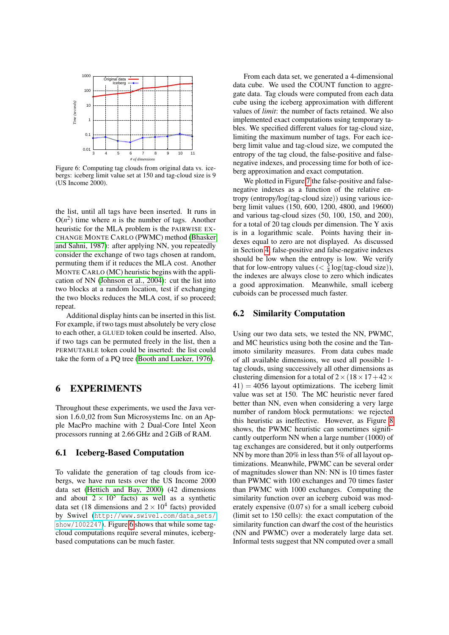

Figure 6: Computing tag clouds from original data vs. icebergs: iceberg limit value set at 150 and tag-cloud size is 9 (US Income 2000).

the list, until all tags have been inserted. It runs in  $O(n^2)$  time where *n* is the number of tags. Another heuristic for the MLA problem is the PAIRWISE EX-CHANGE MONTE CARLO (PWMC) method [\(Bhasker](#page-7-33) [and Sahni, 1987\)](#page-7-33): after applying NN, you repeatedly consider the exchange of two tags chosen at random, permuting them if it reduces the MLA cost. Another MONTE CARLO (MC) heuristic begins with the application of NN [\(Johnson et al., 2004\)](#page-7-34): cut the list into two blocks at a random location, test if exchanging the two blocks reduces the MLA cost, if so proceed; repeat.

Additional display hints can be inserted in this list. For example, if two tags must absolutely be very close to each other, a GLUED token could be inserted. Also, if two tags can be permuted freely in the list, then a PERMUTABLE token could be inserted: the list could take the form of a PQ tree [\(Booth and Lueker, 1976\)](#page-7-35).

## 6 EXPERIMENTS

Throughout these experiments, we used the Java version 1.6.0 02 from Sun Microsystems Inc. on an Apple MacPro machine with 2 Dual-Core Intel Xeon processors running at 2.66 GHz and 2 GiB of RAM.

#### 6.1 Iceberg-Based Computation

To validate the generation of tag clouds from icebergs, we have run tests over the US Income 2000 data set [\(Hettich and Bay, 2000\)](#page-7-36) (42 dimensions and about  $2 \times 10^5$  facts) as well as a synthetic data set (18 dimensions and  $2 \times 10^4$  facts) provided by Swivel ([http://www.swivel.com/data](http://www.swivel.com/data_sets/show/1002247)\_sets/ [show/1002247](http://www.swivel.com/data_sets/show/1002247)). Figure [6](#page-5-0) shows that while some tagcloud computations require several minutes, icebergbased computations can be much faster.

From each data set, we generated a 4-dimensional data cube. We used the COUNT function to aggregate data. Tag clouds were computed from each data cube using the iceberg approximation with different values of *limit*: the number of facts retained. We also implemented exact computations using temporary tables. We specified different values for tag-cloud size, limiting the maximum number of tags. For each iceberg limit value and tag-cloud size, we computed the entropy of the tag cloud, the false-positive and falsenegative indexes, and processing time for both of iceberg approximation and exact computation.

<span id="page-5-0"></span>We plotted in Figure [7](#page-6-2) the false-positive and falsenegative indexes as a function of the relative entropy (entropy/log(tag-cloud size)) using various iceberg limit values (150, 600, 1200, 4800, and 19600) and various tag-cloud sizes (50, 100, 150, and 200), for a total of 20 tag clouds per dimension. The Y axis is in a logarithmic scale. Points having their indexes equal to zero are not displayed. As discussed in Section [4,](#page-3-2) false-positive and false-negative indexes should be low when the entropy is low. We verify that for low-entropy values ( $\lt \frac{3}{4} \log(\text{tag-coloud size})$ ), the indexes are always close to zero which indicates a good approximation. Meanwhile, small iceberg cuboids can be processed much faster.

#### 6.2 Similarity Computation

Using our two data sets, we tested the NN, PWMC, and MC heuristics using both the cosine and the Tanimoto similarity measures. From data cubes made of all available dimensions, we used all possible 1 tag clouds, using successively all other dimensions as clustering dimension for a total of  $2 \times (18 \times 17 + 42 \times$  $41$ ) = 4056 layout optimizations. The iceberg limit value was set at 150. The MC heuristic never fared better than NN, even when considering a very large number of random block permutations: we rejected this heuristic as ineffective. However, as Figure [8](#page-6-3) shows, the PWMC heuristic can sometimes significantly outperform NN when a large number (1000) of tag exchanges are considered, but it only outperforms NN by more than 20% in less than 5% of all layout optimizations. Meanwhile, PWMC can be several order of magnitudes slower than NN: NN is 10 times faster than PWMC with 100 exchanges and 70 times faster than PWMC with 1000 exchanges. Computing the similarity function over an iceberg cuboid was moderately expensive (0.07 s) for a small iceberg cuboid (limit set to 150 cells): the exact computation of the similarity function can dwarf the cost of the heuristics (NN and PWMC) over a moderately large data set. Informal tests suggest that NN computed over a small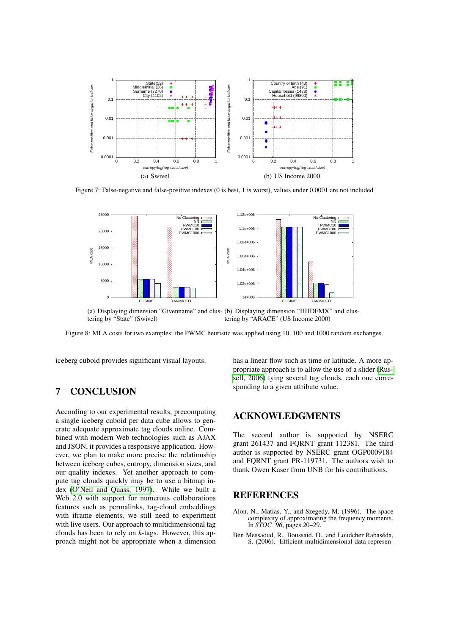

Figure 7: False-negative and false-positive indexes (0 is best, 1 is worst), values under 0.0001 are not included



(a) Displaying dimension "Givenname" and clus-(b) Displaying dimension "HHDFMX" and clustering by "State" (Swivel) tering by "ARACE" (US Income 2000)

Figure 8: MLA costs for two examples: the PWMC heuristic was applied using 10, 100 and 1000 random exchanges.

iceberg cuboid provides significant visual layouts.

# 7 CONCLUSION

According to our experimental results, precomputing a single iceberg cuboid per data cube allows to generate adequate approximate tag clouds online. Combined with modern Web technologies such as AJAX and JSON, it provides a responsive application. However, we plan to make more precise the relationship between iceberg cubes, entropy, dimension sizes, and our quality indexes. Yet another approach to compute tag clouds quickly may be to use a bitmap index [\(O'Neil and Quass, 1997\)](#page-7-37). While we built a Web 2.0 with support for numerous collaborations features such as permalinks, tag-cloud embeddings with iframe elements, we still need to experiment with live users. Our approach to multidimensional tag clouds has been to rely on *k*-tags. However, this approach might not be appropriate when a dimension

<span id="page-6-3"></span><span id="page-6-2"></span>has a linear flow such as time or latitude. A more appropriate approach is to allow the use of a slider [\(Rus](#page-7-19)[sell, 2006\)](#page-7-19) tying several tag clouds, each one corresponding to a given attribute value.

## ACKNOWLEDGMENTS

The second author is supported by NSERC grant 261437 and FQRNT grant 112381. The third author is supported by NSERC grant OGP0009184 and FQRNT grant PR-119731. The authors wish to thank Owen Kaser from UNB for his contributions.

## **REFERENCES**

- <span id="page-6-1"></span>Alon, N., Matias, Y., and Szegedy, M. (1996). The space complexity of approximating the frequency moments. In *STOC '96*, pages 20–29.
- <span id="page-6-0"></span>Ben Messaoud, R., Boussaid, O., and Loudcher Rabaséda, S. (2006). Efficient multidimensional data represen-